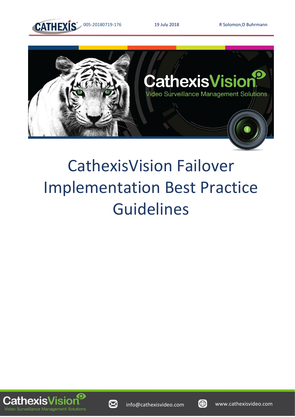

005-20180719-176 19 July 2018 R Solomon;D Buhrmann



# CathexisVision Failover Implementation Best Practice Guidelines





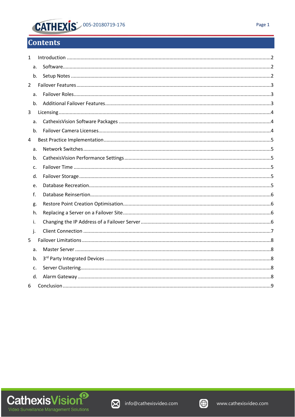## **CATHEXIS** 005-20180719-176

## **Contents**

| 1              |    |  |
|----------------|----|--|
|                | a. |  |
|                | b. |  |
| $\overline{2}$ |    |  |
|                | a. |  |
|                | b. |  |
| 3              |    |  |
|                | a. |  |
|                | b. |  |
| 4              |    |  |
|                | a. |  |
|                | b. |  |
|                | c. |  |
|                | d. |  |
|                | e. |  |
|                | f. |  |
|                | g. |  |
|                | h. |  |
|                | i. |  |
|                | j. |  |
| 5              |    |  |
|                | a. |  |
|                | b. |  |
|                | C. |  |
|                | d. |  |
| 6              |    |  |
|                |    |  |





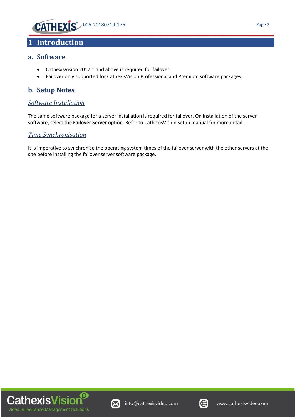

## <span id="page-2-0"></span>**1 Introduction**

#### <span id="page-2-1"></span>**a. Software**

- CathexisVision 2017.1 and above is required for failover.
- Failover only supported for CathexisVision Professional and Premium software packages.

#### <span id="page-2-2"></span>**b. Setup Notes**

#### *Software Installation*

The same software package for a server installation is required for failover. On installation of the server software, select the **Failover Server** option. Refer to CathexisVision setup manual for more detail.

#### *Time Synchronisation*

It is imperative to synchronise the operating system times of the failover server with the other servers at the site before installing the failover server software package.





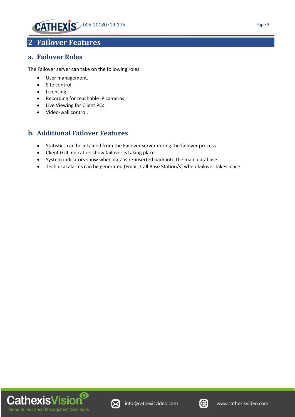

## <span id="page-3-0"></span>**2 Failover Features**

#### <span id="page-3-1"></span>**a. Failover Roles**

The Failover server can take on the following roles:

- User management.
- Site control.
- Licensing.
- Recording for reachable IP cameras.
- Live Viewing for Client PCs.
- Video-wall control.

#### <span id="page-3-2"></span>**b. Additional Failover Features**

- Statistics can be attained from the Failover server during the failover process
- Client GUI indicators show failover is taking place.
- System indicators show when data is re-inserted back into the main database.
- Technical alarms can be generated (Email, Call Base Station/s) when failover takes place.





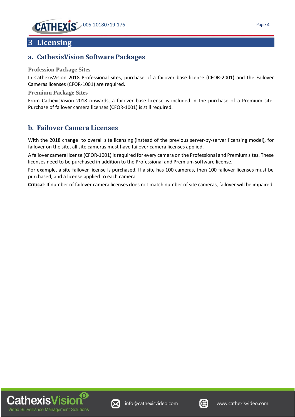### <span id="page-4-0"></span>**3 Licensing**

#### <span id="page-4-1"></span>**a. CathexisVision Software Packages**

#### **Profession Package Sites**

In CathexisVision 2018 Professional sites, purchase of a failover base license (CFOR-2001) and the Failover Cameras licenses (CFOR-1001) are required.

#### **Premium Package Sites**

From CathexisVision 2018 onwards, a failover base license is included in the purchase of a Premium site. Purchase of failover camera licenses (CFOR-1001) is still required.

#### <span id="page-4-2"></span>**b. Failover Camera Licenses**

With the 2018 change to overall site licensing (instead of the previous server-by-server licensing model), for failover on the site, all site cameras must have failover camera licenses applied.

A failover camera license (CFOR-1001) is required for every camera on the Professional and Premium sites. These licenses need to be purchased in addition to the Professional and Premium software license.

For example, a site failover license is purchased. If a site has 100 cameras, then 100 failover licenses must be purchased, and a license applied to each camera.

**Critical**: If number of failover camera licenses does not match number of site cameras, failover will be impaired.





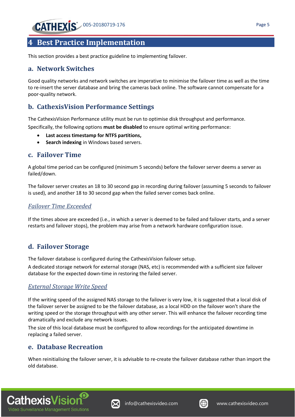## <span id="page-5-0"></span>**4 Best Practice Implementation**

This section provides a best practice guideline to implementing failover.

#### <span id="page-5-1"></span>**a. Network Switches**

Good quality networks and network switches are imperative to minimise the failover time as well as the time to re-insert the server database and bring the cameras back online. The software cannot compensate for a poor-quality network.

#### <span id="page-5-2"></span>**b. CathexisVision Performance Settings**

The CathexisVision Performance utility must be run to optimise disk throughput and performance.

Specifically, the following options **must be disabled** to ensure optimal writing performance:

- **Last access timestamp for NTFS partitions,**
- **Search indexing** in Windows based servers.

#### <span id="page-5-3"></span>**c. Failover Time**

A global time period can be configured (minimum 5 seconds) before the failover server deems a server as failed/down.

The failover server creates an 18 to 30 second gap in recording during failover (assuming 5 seconds to failover is used), and another 18 to 30 second gap when the failed server comes back online.

#### *Failover Time Exceeded*

If the times above are exceeded (i.e., in which a server is deemed to be failed and failover starts, and a server restarts and failover stops), the problem may arise from a network hardware configuration issue.

#### <span id="page-5-4"></span>**d. Failover Storage**

The failover database is configured during the CathexisVision failover setup.

A dedicated storage network for external storage (NAS, etc) is recommended with a sufficient size failover database for the expected down-time in restoring the failed server.

#### *External Storage Write Speed*

If the writing speed of the assigned NAS storage to the failover is very low, it is suggested that a local disk of the failover server be assigned to be the failover database, as a local HDD on the failover won't share the writing speed or the storage throughput with any other server. This will enhance the failover recording time dramatically and exclude any network issues.

The size of this local database must be configured to allow recordings for the anticipated downtime in replacing a failed server.

#### <span id="page-5-5"></span>**e. Database Recreation**

When reinitialising the failover server, it is advisable to re-create the failover database rather than import the old database.





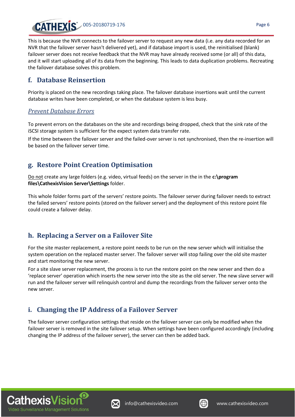

This is because the NVR connects to the failover server to request any new data (i.e. any data recorded for an NVR that the failover server hasn't delivered yet), and if database import is used, the reinitialised (blank) failover server does not receive feedback that the NVR may have already received some (or all) of this data, and it will start uploading all of its data from the beginning. This leads to data duplication problems. Recreating the failover database solves this problem.

#### <span id="page-6-0"></span>**f. Database Reinsertion**

Priority is placed on the new recordings taking place. The failover database insertions wait until the current database writes have been completed, or when the database system is less busy.

#### *Prevent Database Errors*

To prevent errors on the databases on the site and recordings being dropped, check that the sink rate of the iSCSI storage system is sufficient for the expect system data transfer rate.

If the time between the failover server and the failed-over server is not synchronised, then the re-insertion will be based on the failover server time.

#### <span id="page-6-1"></span>**g. Restore Point Creation Optimisation**

Do not create any large folders (e.g. video, virtual feeds) on the server in the in the **c:\program files\CathexisVision Server\Settings** folder.

This whole folder forms part of the servers' restore points. The failover server during failover needs to extract the failed servers' restore points (stored on the failover server) and the deployment of this restore point file could create a failover delay.

#### <span id="page-6-2"></span>**h. Replacing a Server on a Failover Site**

For the site master replacement, a restore point needs to be run on the new server which will initialise the system operation on the replaced master server. The failover server will stop failing over the old site master and start monitoring the new server.

For a site slave server replacement, the process is to run the restore point on the new server and then do a 'replace server' operation which inserts the new server into the site as the old server. The new slave server will run and the failover server will relinquish control and dump the recordings from the failover server onto the new server.

#### <span id="page-6-3"></span>**i. Changing the IP Address of a Failover Server**

The failover server configuration settings that reside on the failover server can only be modified when the failover server is removed in the site failover setup. When settings have been configured accordingly (including changing the IP address of the failover server), the server can then be added back.





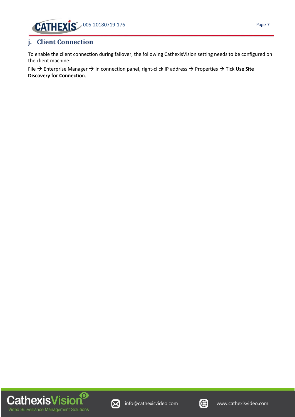

#### <span id="page-7-0"></span>**j. Client Connection**

To enable the client connection during failover, the following CathexisVision setting needs to be configured on the client machine:

File → Enterprise Manager → In connection panel, right-click IP address → Properties → Tick **Use Site Discovery for Connectio**n.





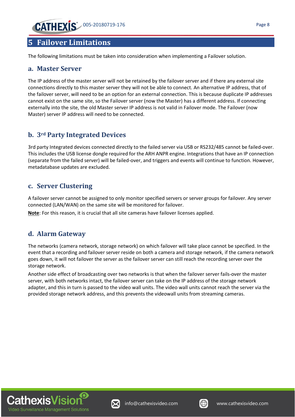## <span id="page-8-0"></span>**5 Failover Limitations**

The following limitations must be taken into consideration when implementing a Failover solution.

#### <span id="page-8-1"></span>**a. Master Server**

The IP address of the master server will not be retained by the failover server and if there any external site connections directly to this master server they will not be able to connect. An alternative IP address, that of the failover server, will need to be an option for an external connection. This is because duplicate IP addresses cannot exist on the same site, so the Failover server (now the Master) has a different address. If connecting externally into the site, the old Master server IP address is not valid in Failover mode. The Failover (now Master) server IP address will need to be connected.

#### <span id="page-8-2"></span>**b. 3rd Party Integrated Devices**

3rd party Integrated devices connected directly to the failed server via USB or RS232/485 cannot be failed-over. This includes the USB license dongle required for the ARH ANPR engine. Integrations that have an IP connection (separate from the failed server) will be failed-over, and triggers and events will continue to function. However, metadatabase updates are excluded.

#### <span id="page-8-3"></span>**c. Server Clustering**

A failover server cannot be assigned to only monitor specified servers or server groups for failover. Any server connected (LAN/WAN) on the same site will be monitored for failover.

**Note**: For this reason, it is crucial that all site cameras have failover licenses applied.

#### <span id="page-8-4"></span>**d. Alarm Gateway**

The networks (camera network, storage network) on which failover will take place cannot be specified. In the event that a recording and failover server reside on both a camera and storage network, if the camera network goes down, it will not failover the server as the failover server can still reach the recording server over the storage network.

Another side effect of broadcasting over two networks is that when the failover server fails-over the master server, with both networks intact, the failover server can take on the IP address of the storage network adapter, and this in turn is passed to the video wall units. The video wall units cannot reach the server via the provided storage network address, and this prevents the videowall units from streaming cameras.